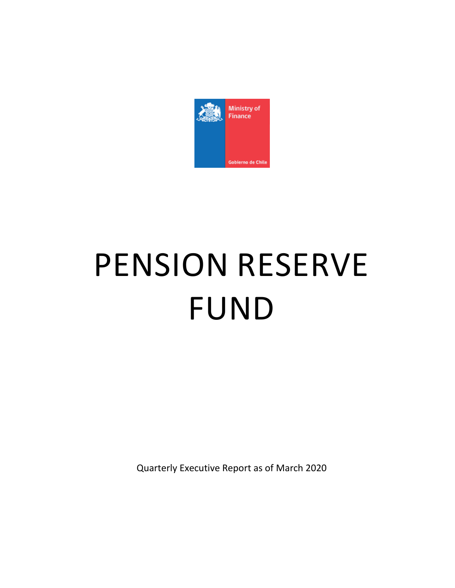

# PENSION RESERVE FUND

Quarterly Executive Report as of March 2020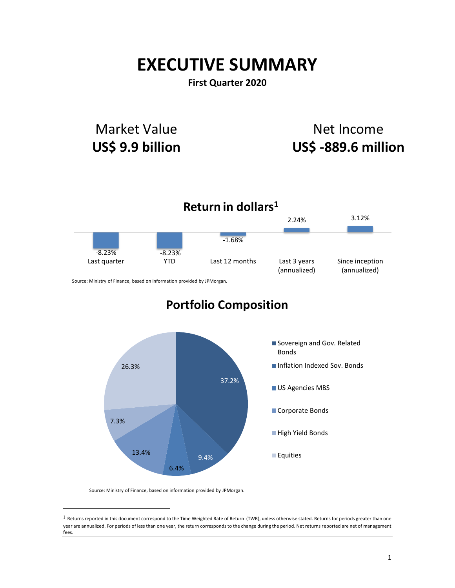# **EXECUTIVE SUMMARY**

**First Quarter 2020**

# Market Value **US\$ 9.9 billion**

# Net Income **US\$ -889.6 million**



37.2%

US Agencies MBS

Corporate Bonds

High Yield Bonds

**Equities** 



13.4%

7.3%

6.4%

9.4%

 $1$  Returns reported in this document correspond to the Time Weighted Rate of Return (TWR), unless otherwise stated. Returns for periods greater than one year are annualized. For periods of less than one year, the return corresponds to the change during the period. Net returns reported are net of management fees.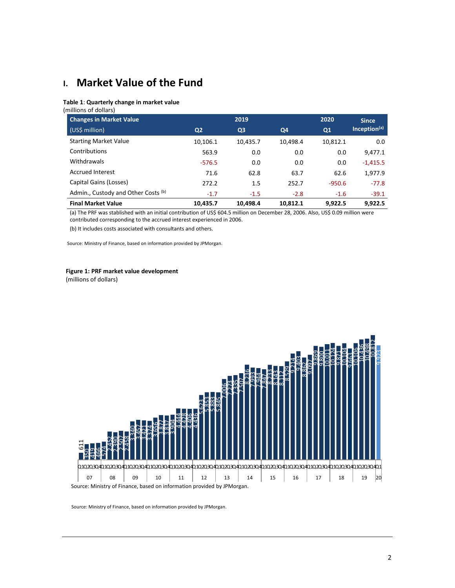# **I. Market Value of the Fund**

#### **Table 1**: **Quarterly change in market value**

(millions of dollars)

| <b>Changes in Market Value</b>      |                | 2019           |          |          | <b>Since</b>             |
|-------------------------------------|----------------|----------------|----------|----------|--------------------------|
| (US\$ million)                      | Q <sub>2</sub> | Q <sub>3</sub> | Q4       | Q1       | Inception <sup>(a)</sup> |
| <b>Starting Market Value</b>        | 10,106.1       | 10,435.7       | 10,498.4 | 10,812.1 | 0.0                      |
| Contributions                       | 563.9          | 0.0            | 0.0      | 0.0      | 9,477.1                  |
| Withdrawals                         | $-576.5$       | 0.0            | 0.0      | 0.0      | $-1,415.5$               |
| <b>Accrued Interest</b>             | 71.6           | 62.8           | 63.7     | 62.6     | 1,977.9                  |
| Capital Gains (Losses)              | 272.2          | 1.5            | 252.7    | $-950.6$ | $-77.8$                  |
| Admin., Custody and Other Costs (b) | $-1.7$         | $-1.5$         | $-2.8$   | $-1.6$   | $-39.1$                  |
| <b>Final Market Value</b>           | 10,435.7       | 10.498.4       | 10.812.1 | 9.922.5  | 9.922.5                  |

(a) The PRF was stablished with an initial contribution of US\$ 604.5 million on December 28, 2006. Also, US\$ 0.09 million were contributed corresponding to the accrued interest experienced in 2006.

(b) It includes costs associated with consultants and others.

Source: Ministry of Finance, based on information provided by JPMorgan.

# **Figure 1: PRF market value development**

(millions of dollars)

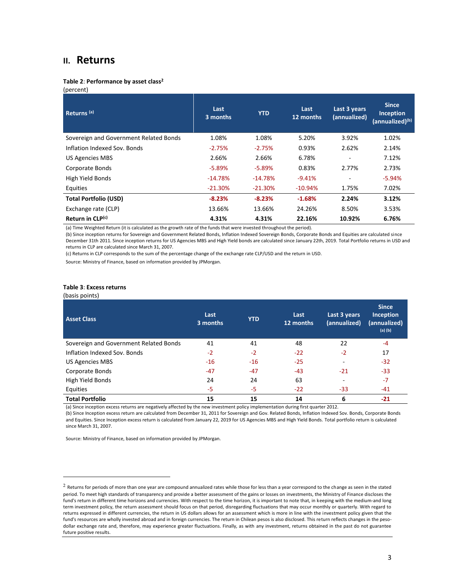# **II. Returns**

#### **Table 2**: **Performance by asset class<sup>2</sup>**

(percent)

| Returns <sup>(a)</sup>                 | Last<br>3 months | <b>YTD</b> | Last<br>12 months | Last 3 years<br>(annualized) | <b>Since</b><br>Inception<br>(annualized) <sup>(b)</sup> |
|----------------------------------------|------------------|------------|-------------------|------------------------------|----------------------------------------------------------|
| Sovereign and Government Related Bonds | 1.08%            | 1.08%      | 5.20%             | 3.92%                        | 1.02%                                                    |
| Inflation Indexed Sov. Bonds           | $-2.75%$         | $-2.75%$   | 0.93%             | 2.62%                        | 2.14%                                                    |
| US Agencies MBS                        | 2.66%            | 2.66%      | 6.78%             | ۰                            | 7.12%                                                    |
| Corporate Bonds                        | $-5.89\%$        | $-5.89%$   | 0.83%             | 2.77%                        | 2.73%                                                    |
| High Yield Bonds                       | $-14.78%$        | $-14.78%$  | $-9.41%$          |                              | $-5.94%$                                                 |
| Equities                               | $-21.30%$        | $-21.30%$  | $-10.94%$         | 1.75%                        | 7.02%                                                    |
| <b>Total Portfolio (USD)</b>           | $-8.23%$         | $-8.23%$   | $-1.68%$          | 2.24%                        | 3.12%                                                    |
| Exchange rate (CLP)                    | 13.66%           | 13.66%     | 24.26%            | 8.50%                        | 3.53%                                                    |
| Return in CLP(c)                       | 4.31%            | 4.31%      | 22.16%            | 10.92%                       | 6.76%                                                    |

(a) Time Weighted Return (it is calculated as the growth rate of the funds that were invested throughout the period).

(b) Since inception returns for Sovereign and Government Related Bonds, Inflation Indexed Sovereign Bonds, Corporate Bonds and Equities are calculated since December 31th 2011. Since inception returns for US Agencies MBS and High Yield bonds are calculated since January 22th, 2019. Total Portfolio returns in USD and returns in CLP are calculated since March 31, 2007.

(c) Returns in CLP corresponds to the sum of the percentage change of the exchange rate CLP/USD and the return in USD.

Source: Ministry of Finance, based on information provided by JPMorgan.

#### **Table 3**: **Excess returns**

#### (basis points)

| <b>Asset Class</b>                     | Last<br>3 months | <b>YTD</b> | Last<br>12 months | Last 3 years<br>(annualized) | <b>Since</b><br>Inception<br>(annualized)<br>$(a)$ (b) |
|----------------------------------------|------------------|------------|-------------------|------------------------------|--------------------------------------------------------|
| Sovereign and Government Related Bonds | 41               | 41         | 48                | 22                           | $-4$                                                   |
| Inflation Indexed Sov. Bonds           | $-2$             | $-2$       | $-22$             | $-2$                         | 17                                                     |
| <b>US Agencies MBS</b>                 | $-16$            | $-16$      | $-25$             |                              | $-32$                                                  |
| Corporate Bonds                        | $-47$            | $-47$      | $-43$             | $-21$                        | $-33$                                                  |
| High Yield Bonds                       | 24               | 24         | 63                |                              | $-7$                                                   |
| Equities                               | -5               | -5         | $-22$             | $-33$                        | -41                                                    |
| <b>Total Portfolio</b>                 | 15               | 15         | 14                | 6                            | $-21$                                                  |

(a) Since inception excess returns are negatively affected by the new investment policy implementation during first quarter 2012.

(b) Since Inception excess return are calculated from December 31, 2011 for Sovereign and Gov. Related Bonds, Inflation Indexed Sov. Bonds, Corporate Bonds and Equities. Since Inception excess return is calculated from January 22, 2019 for US Agencies MBS and High Yield Bonds. Total portfolio return is calculated since March 31, 2007.

 $2$  Returns for periods of more than one year are compound annualized rates while those for less than a year correspond to the change as seen in the stated period. To meet high standards of transparency and provide a better assessment of the gains or losses on investments, the Ministry of Finance discloses the fund's return in different time horizons and currencies. With respect to the time horizon, it is important to note that, in keeping with the medium-and long term investment policy, the return assessment should focus on that period, disregarding fluctuations that may occur monthly or quarterly. With regard to returns expressed in different currencies, the return in US dollars allows for an assessment which is more in line with the investment policy given that the fund's resources are wholly invested abroad and in foreign currencies. The return in Chilean pesos is also disclosed. This return reflects changes in the pesodollar exchange rate and, therefore, may experience greater fluctuations. Finally, as with any investment, returns obtained in the past do not guarantee future positive results.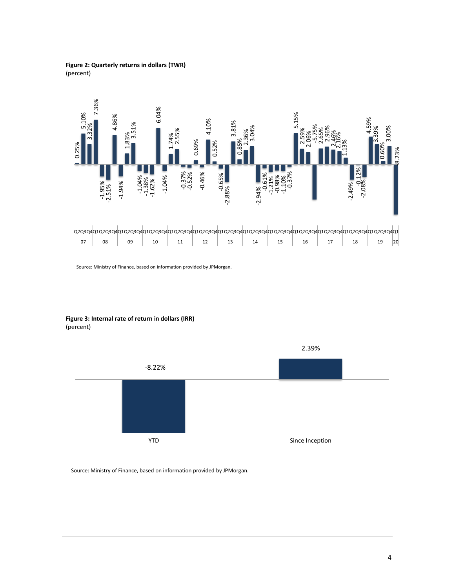### **Figure 2: Quarterly returns in dollars (TWR)** (percent)



Source: Ministry of Finance, based on information provided by JPMorgan.

**Figure 3: Internal rate of return in dollars (IRR)** (percent)

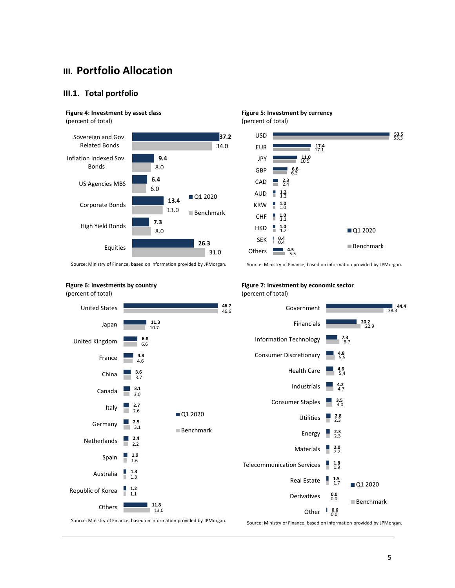# **III. Portfolio Allocation**

## **III.1. Total portfolio**

# **Figure 4: Investment by asset class**

(percent of total)



**Figure 5: Investment by currency** (percent of total) USD



Source: Ministry of Finance, based on information provided by JPMorgan.

Source: Ministry of Finance, based on information provided by JPMorgan.

# **Figure 6: Investments by country**



**Figure 7: Investment by economic sector** (percent of total)



Source: Ministry of Finance, based on information provided by JPMorgan.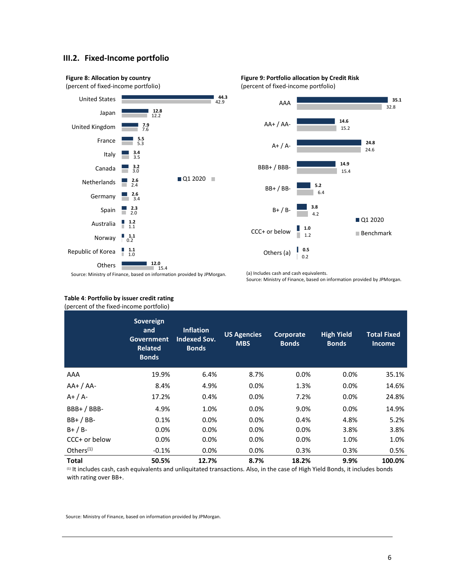# **III.2. Fixed-Income portfolio**





(a) Includes cash and cash equivalents.

**0.5**

Others (a)

0.2

| Source: Ministry of Finance, based on information provided by JPMorgan. |  |  |
|-------------------------------------------------------------------------|--|--|
|-------------------------------------------------------------------------|--|--|

| (percent of the fixed-income portfolio) |                                                                         |                                                         |                                  |                           |                                   |                                     |
|-----------------------------------------|-------------------------------------------------------------------------|---------------------------------------------------------|----------------------------------|---------------------------|-----------------------------------|-------------------------------------|
|                                         | Sovereign<br>and<br><b>Government</b><br><b>Related</b><br><b>Bonds</b> | <b>Inflation</b><br><b>Indexed Sov.</b><br><b>Bonds</b> | <b>US Agencies</b><br><b>MBS</b> | Corporate<br><b>Bonds</b> | <b>High Yield</b><br><b>Bonds</b> | <b>Total Fixed</b><br><b>Income</b> |
| AAA                                     | 19.9%                                                                   | 6.4%                                                    | 8.7%                             | 0.0%                      | 0.0%                              | 35.1%                               |
| $AA+ / AA-$                             | 8.4%                                                                    | 4.9%                                                    | 0.0%                             | 1.3%                      | 0.0%                              | 14.6%                               |
| $A+ / A-$                               | 17.2%                                                                   | 0.4%                                                    | 0.0%                             | 7.2%                      | 0.0%                              | 24.8%                               |
| $BBB+ / BBB-$                           | 4.9%                                                                    | 1.0%                                                    | 0.0%                             | 9.0%                      | 0.0%                              | 14.9%                               |
| $BB+ / BB-$                             | 0.1%                                                                    | 0.0%                                                    | 0.0%                             | 0.4%                      | 4.8%                              | 5.2%                                |
| $B+ / B-$                               | $0.0\%$                                                                 | 0.0%                                                    | 0.0%                             | 0.0%                      | 3.8%                              | 3.8%                                |
| CCC+ or below                           | $0.0\%$                                                                 | $0.0\%$                                                 | 0.0%                             | $0.0\%$                   | 1.0%                              | 1.0%                                |
| Others <sup>(1)</sup>                   | $-0.1\%$                                                                | 0.0%                                                    | 0.0%                             | 0.3%                      | 0.3%                              | 0.5%                                |
| <b>Total</b>                            | 50.5%                                                                   | 12.7%                                                   | 8.7%                             | 18.2%                     | 9.9%                              | 100.0%                              |

# **Table 4**: **Portfolio by issuer credit rating**

(1) It includes cash, cash equivalents and unliquitated transactions. Also, in the case of High Yield Bonds, it includes bonds with rating over BB+.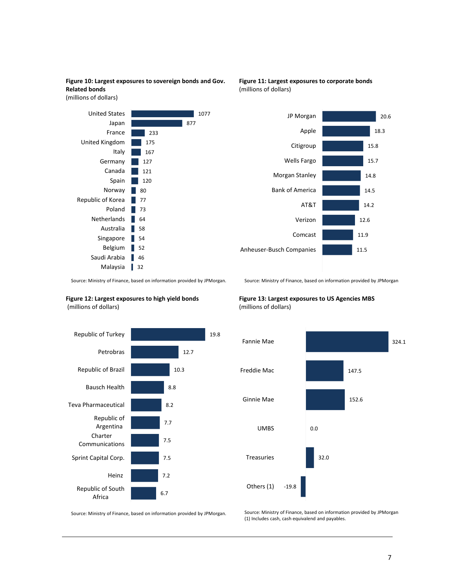**Figure 10: Largest exposures to sovereign bonds and Gov. Related bonds** 

(millions of dollars)



### **Figure 11: Largest exposures to corporate bonds** (millions of dollars)



Source: Ministry of Finance, based on information provided by JPMorgan. .

#### **Figure 12: Largest exposures to high yield bonds** (millions of dollars)



Source: Ministry of Finance, based on information provided by JPMorgan

### **Figure 13: Largest exposures to US Agencies MBS**  (millions of dollars)



Source: Ministry of Finance, based on information provided by JPMorgan.

Source: Ministry of Finance, based on information provided by JPMorgan (1) Includes cash, cash equivalend and payables.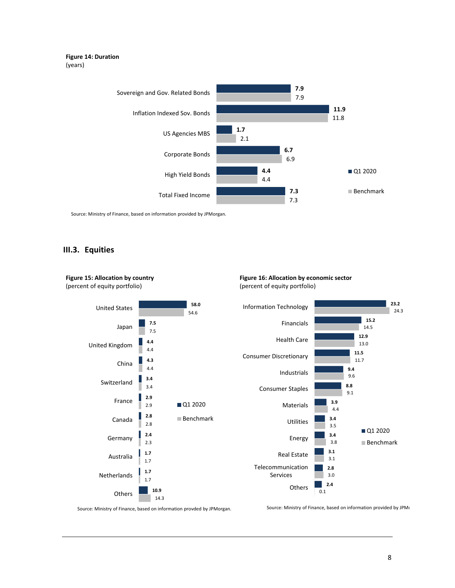### **Figure 14: Duration** (years)



Source: Ministry of Finance, based on information provided by JPMorgan.

## **III.3. Equities**

**Figure 15: Allocation by country**



**Figure 16: Allocation by economic sector** (percent of equity portfolio)

Source: Ministry of Finance, based on information provded by JPMorgan.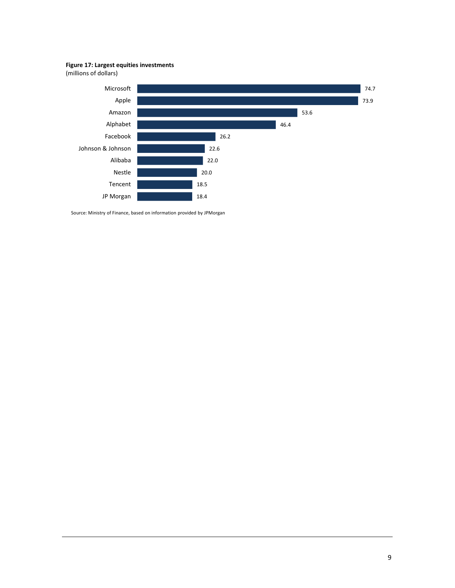### **Figure 17: Largest equities investments**

(millions of dollars)

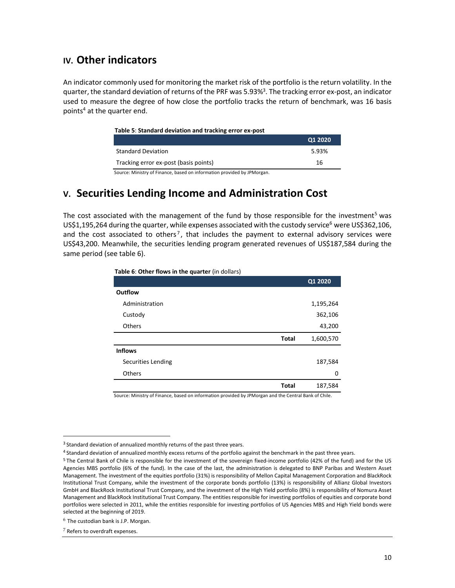# **IV. Other indicators**

An indicator commonly used for monitoring the market risk of the portfolio is the return volatility. In the quarter, the standard deviation of returns of the PRF was 5.93%<sup>3</sup>. The tracking error ex-post, an indicator used to measure the degree of how close the portfolio tracks the return of benchmark, was 16 basis points<sup>4</sup> at the quarter end.

#### **Table 5**: **Standard deviation and tracking error ex-post**

|                                       | Q1 2020 |
|---------------------------------------|---------|
| <b>Standard Deviation</b>             | 5.93%   |
| Tracking error ex-post (basis points) | 16      |

Source: Ministry of Finance, based on information provided by JPMorgan.

# **V. Securities Lending Income and Administration Cost**

The cost associated with the management of the fund by those responsible for the investment<sup>5</sup> was US\$1,195,264 during the quarter, while expenses associated with the custody service<sup>6</sup> were US\$362,106, and the cost associated to others<sup>7</sup>, that includes the payment to external advisory services were US\$43,200. Meanwhile, the securities lending program generated revenues of US\$187,584 during the same period (see table 6).

| Table 6: Other flows in the quarter (in dollars) |  |
|--------------------------------------------------|--|
|--------------------------------------------------|--|

|                    |              | Q1 2020   |
|--------------------|--------------|-----------|
| <b>Outflow</b>     |              |           |
| Administration     |              | 1,195,264 |
| Custody            |              | 362,106   |
| Others             |              | 43,200    |
|                    | <b>Total</b> | 1,600,570 |
| <b>Inflows</b>     |              |           |
| Securities Lending |              | 187,584   |
| Others             |              | 0         |
|                    | <b>Total</b> | 187,584   |
|                    |              |           |

Source: Ministry of Finance, based on information provided by JPMorgan and the Central Bank of Chile.

<sup>&</sup>lt;sup>3</sup> Standard deviation of annualized monthly returns of the past three years.

<sup>4</sup> Standard deviation of annualized monthly excess returns of the portfolio against the benchmark in the past three years.

<sup>5</sup> The Central Bank of Chile is responsible for the investment of the sovereign fixed-income portfolio (42% of the fund) and for the US Agencies MBS portfolio (6% of the fund). In the case of the last, the administration is delegated to BNP Paribas and Western Asset Management. The investment of the equities portfolio (31%) is responsibility of Mellon Capital Management Corporation and BlackRock Institutional Trust Company, while the investment of the corporate bonds portfolio (13%) is responsibility of Allianz Global Investors GmbH and BlackRock Institutional Trust Company, and the investment of the High Yield portfolio (8%) is responsibility of Nomura Asset Management and BlackRock Institutional Trust Company. The entities responsible for investing portfolios of equities and corporate bond portfolios were selected in 2011, while the entities responsible for investing portfolios of US Agencies MBS and High Yield bonds were selected at the beginning of 2019.

<sup>6</sup> The custodian bank is J.P. Morgan.

<sup>7</sup> Refers to overdraft expenses.